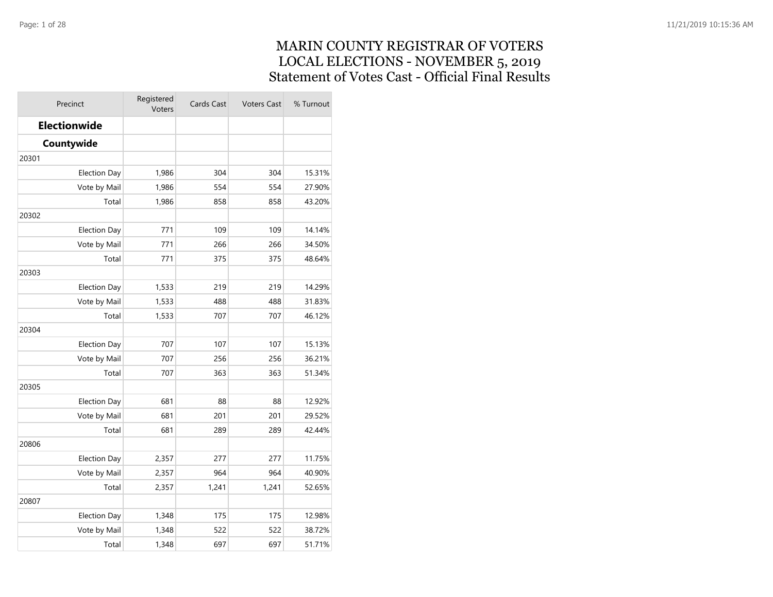### MARIN COUNTY REGISTRAR OF VOTERS LOCAL ELECTIONS - NOVEMBER 5, 2019 Statement of Votes Cast - Official Final Results

| Precinct            | Registered<br>Voters | Cards Cast<br><b>Voters Cast</b> |       | % Turnout |
|---------------------|----------------------|----------------------------------|-------|-----------|
| Electionwide        |                      |                                  |       |           |
| Countywide          |                      |                                  |       |           |
| 20301               |                      |                                  |       |           |
| <b>Election Day</b> | 1,986                | 304                              | 304   | 15.31%    |
| Vote by Mail        | 1,986                | 554                              | 554   | 27.90%    |
| Total               | 1,986                | 858                              | 858   | 43.20%    |
| 20302               |                      |                                  |       |           |
| <b>Election Day</b> | 771                  | 109                              | 109   | 14.14%    |
| Vote by Mail        | 771                  | 266                              | 266   | 34.50%    |
| Total               | 771                  | 375                              | 375   | 48.64%    |
| 20303               |                      |                                  |       |           |
| <b>Election Day</b> | 1,533                | 219                              | 219   | 14.29%    |
| Vote by Mail        | 1,533                | 488                              | 488   | 31.83%    |
| Total               | 1,533                | 707                              | 707   | 46.12%    |
| 20304               |                      |                                  |       |           |
| <b>Election Day</b> | 707                  | 107                              | 107   | 15.13%    |
| Vote by Mail        | 707                  | 256                              | 256   | 36.21%    |
| Total               | 707                  | 363                              | 363   | 51.34%    |
| 20305               |                      |                                  |       |           |
| <b>Election Day</b> | 681                  | 88                               | 88    | 12.92%    |
| Vote by Mail        | 681                  | 201                              | 201   | 29.52%    |
| Total               | 681                  | 289                              | 289   | 42.44%    |
| 20806               |                      |                                  |       |           |
| <b>Election Day</b> | 2,357                | 277                              | 277   | 11.75%    |
| Vote by Mail        | 2,357                | 964                              | 964   | 40.90%    |
| Total               | 2,357                | 1,241                            | 1,241 | 52.65%    |
| 20807               |                      |                                  |       |           |
| <b>Election Day</b> | 1,348                | 175                              | 175   | 12.98%    |
| Vote by Mail        | 1,348                | 522                              | 522   | 38.72%    |
| Total               | 1,348                | 697                              | 697   | 51.71%    |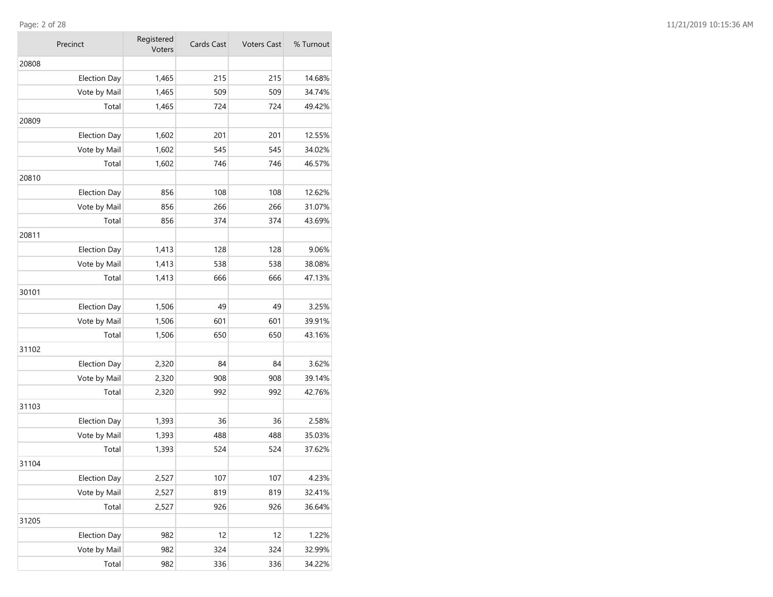**COL** 

| Precinct            | Registered<br>Voters | Cards Cast | <b>Voters Cast</b> | % Turnout |
|---------------------|----------------------|------------|--------------------|-----------|
| 20808               |                      |            |                    |           |
| <b>Election Day</b> | 1,465                | 215        | 215                | 14.68%    |
| Vote by Mail        | 1,465                | 509        | 509                | 34.74%    |
| Total               | 1,465                | 724        | 724                | 49.42%    |
| 20809               |                      |            |                    |           |
| <b>Election Day</b> | 1,602                | 201        | 201                | 12.55%    |
| Vote by Mail        | 1,602                | 545        | 545                | 34.02%    |
| Total               | 1,602                | 746        | 746                | 46.57%    |
| 20810               |                      |            |                    |           |
| <b>Election Day</b> | 856                  | 108        | 108                | 12.62%    |
| Vote by Mail        | 856                  | 266        | 266                | 31.07%    |
| Total               | 856                  | 374        | 374                | 43.69%    |
| 20811               |                      |            |                    |           |
| <b>Election Day</b> | 1,413                | 128        | 128                | 9.06%     |
| Vote by Mail        | 1,413                | 538        | 538                | 38.08%    |
| Total               | 1,413                | 666        | 666                | 47.13%    |
| 30101               |                      |            |                    |           |
| <b>Election Day</b> | 1,506                | 49         | 49                 | 3.25%     |
| Vote by Mail        | 1,506                | 601        | 601                | 39.91%    |
| Total               | 1,506                | 650        | 650                | 43.16%    |
| 31102               |                      |            |                    |           |
| <b>Election Day</b> | 2,320                | 84         | 84                 | 3.62%     |
| Vote by Mail        | 2,320                | 908        | 908                | 39.14%    |
| Total               | 2,320                | 992        | 992                | 42.76%    |
| 31103               |                      |            |                    |           |
| <b>Election Day</b> | 1,393                | 36         | 36                 | 2.58%     |
| Vote by Mail        | 1,393                | 488        | 488                | 35.03%    |
| Total               | 1,393                | 524        | 524                | 37.62%    |
| 31104               |                      |            |                    |           |
| <b>Election Day</b> | 2,527                | 107        | 107                | 4.23%     |
| Vote by Mail        | 2,527                | 819        | 819                | 32.41%    |
| Total               | 2,527                | 926        | 926                | 36.64%    |
| 31205               |                      |            |                    |           |
| <b>Election Day</b> | 982                  | 12         | 12                 | 1.22%     |
| Vote by Mail        | 982                  | 324        | 324                | 32.99%    |
| Total               | 982                  | 336        | 336                | 34.22%    |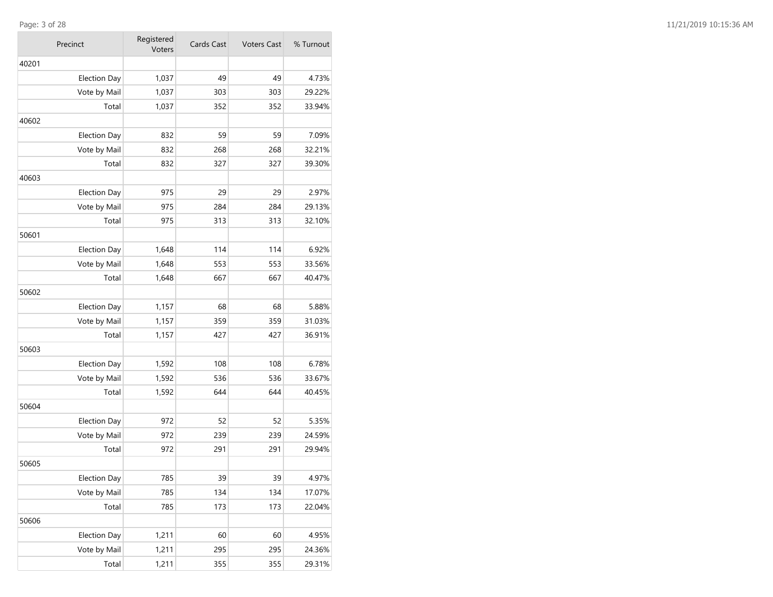**COL** 

| Precinct            | Registered<br>Voters | Cards Cast | <b>Voters Cast</b> | % Turnout |
|---------------------|----------------------|------------|--------------------|-----------|
| 40201               |                      |            |                    |           |
| <b>Election Day</b> | 1,037                | 49         | 49                 | 4.73%     |
| Vote by Mail        | 1,037                | 303        | 303                | 29.22%    |
| Total               | 1,037                | 352        | 352                | 33.94%    |
| 40602               |                      |            |                    |           |
| <b>Election Day</b> | 832                  | 59         | 59                 | 7.09%     |
| Vote by Mail        | 832                  | 268        | 268                | 32.21%    |
| Total               | 832                  | 327        | 327                | 39.30%    |
| 40603               |                      |            |                    |           |
| <b>Election Day</b> | 975                  | 29         | 29                 | 2.97%     |
| Vote by Mail        | 975                  | 284        | 284                | 29.13%    |
| Total               | 975                  | 313        | 313                | 32.10%    |
| 50601               |                      |            |                    |           |
| <b>Election Day</b> | 1,648                | 114        | 114                | 6.92%     |
| Vote by Mail        | 1,648                | 553        | 553                | 33.56%    |
| Total               | 1,648                | 667        | 667                | 40.47%    |
| 50602               |                      |            |                    |           |
| <b>Election Day</b> | 1,157                | 68         | 68                 | 5.88%     |
| Vote by Mail        | 1,157                | 359        | 359                | 31.03%    |
| Total               | 1,157                | 427        | 427                | 36.91%    |
| 50603               |                      |            |                    |           |
| <b>Election Day</b> | 1,592                | 108        | 108                | 6.78%     |
| Vote by Mail        | 1,592                | 536        | 536                | 33.67%    |
| Total               | 1,592                | 644        | 644                | 40.45%    |
| 50604               |                      |            |                    |           |
| <b>Election Day</b> | 972                  | 52         | 52                 | 5.35%     |
| Vote by Mail        | 972                  | 239        | 239                | 24.59%    |
| Total               | 972                  | 291        | 291                | 29.94%    |
| 50605               |                      |            |                    |           |
| <b>Election Day</b> | 785                  | 39         | 39                 | 4.97%     |
| Vote by Mail        | 785                  | 134        | 134                | 17.07%    |
| Total               | 785                  | 173        | 173                | 22.04%    |
| 50606               |                      |            |                    |           |
| <b>Election Day</b> | 1,211                | 60         | 60                 | 4.95%     |
| Vote by Mail        | 1,211                | 295        | 295                | 24.36%    |
| Total               | 1,211                | 355        | 355                | 29.31%    |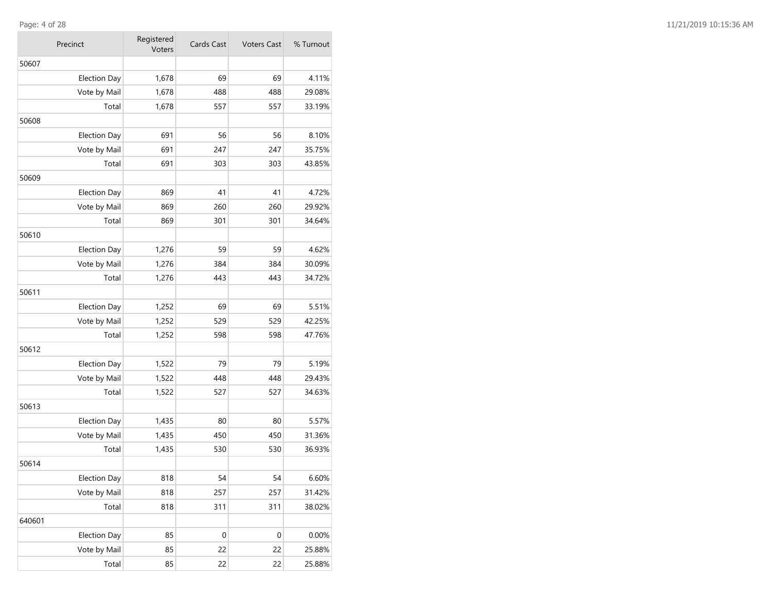$\mathcal{L}_{\mathcal{A}}$ 

| Precinct            | Registered<br>Voters | Cards Cast | <b>Voters Cast</b> | % Turnout |
|---------------------|----------------------|------------|--------------------|-----------|
| 50607               |                      |            |                    |           |
| <b>Election Day</b> | 1,678                | 69         | 69                 | 4.11%     |
| Vote by Mail        | 1,678                | 488        | 488                | 29.08%    |
| Total               | 1,678                | 557        | 557                | 33.19%    |
| 50608               |                      |            |                    |           |
| <b>Election Day</b> | 691                  | 56         | 56                 | 8.10%     |
| Vote by Mail        | 691                  | 247        | 247                | 35.75%    |
| Total               | 691                  | 303        | 303                | 43.85%    |
| 50609               |                      |            |                    |           |
| <b>Election Day</b> | 869                  | 41         | 41                 | 4.72%     |
| Vote by Mail        | 869                  | 260        | 260                | 29.92%    |
| Total               | 869                  | 301        | 301                | 34.64%    |
| 50610               |                      |            |                    |           |
| <b>Election Day</b> | 1,276                | 59         | 59                 | 4.62%     |
| Vote by Mail        | 1,276                | 384        | 384                | 30.09%    |
| Total               | 1,276                | 443        | 443                | 34.72%    |
| 50611               |                      |            |                    |           |
| <b>Election Day</b> | 1,252                | 69         | 69                 | 5.51%     |
| Vote by Mail        | 1,252                | 529        | 529                | 42.25%    |
| Total               | 1,252                | 598        | 598                | 47.76%    |
| 50612               |                      |            |                    |           |
| <b>Election Day</b> | 1,522                | 79         | 79                 | 5.19%     |
| Vote by Mail        | 1,522                | 448        | 448                | 29.43%    |
| Total               | 1,522                | 527        | 527                | 34.63%    |
| 50613               |                      |            |                    |           |
| <b>Election Day</b> | 1,435                | 80         | 80                 | 5.57%     |
| Vote by Mail        | 1,435                | 450        | 450                | 31.36%    |
| Total               | 1,435                | 530        | 530                | 36.93%    |
| 50614               |                      |            |                    |           |
| <b>Election Day</b> | 818                  | 54         | 54                 | 6.60%     |
| Vote by Mail        | 818                  | 257        | 257                | 31.42%    |
| Total               | 818                  | 311        | 311                | 38.02%    |
| 640601              |                      |            |                    |           |
| <b>Election Day</b> | 85                   | 0          | $\boldsymbol{0}$   | 0.00%     |
| Vote by Mail        | 85                   | 22         | 22                 | 25.88%    |
| Total               | 85                   | 22         | 22                 | 25.88%    |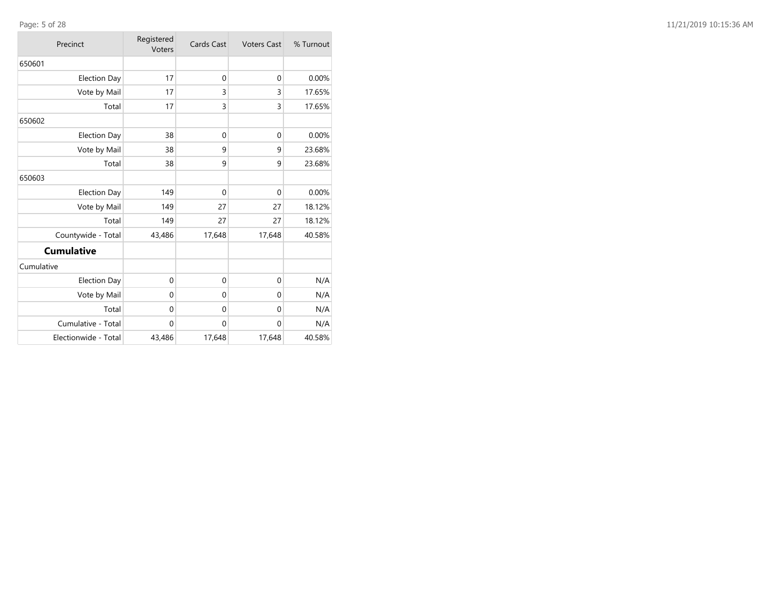| Precinct             | Registered<br>Voters | Cards Cast<br><b>Voters Cast</b> |              | % Turnout |
|----------------------|----------------------|----------------------------------|--------------|-----------|
| 650601               |                      |                                  |              |           |
| <b>Election Day</b>  | 17                   | $\mathbf{0}$                     | $\mathbf{0}$ | 0.00%     |
| Vote by Mail         | 17                   | 3                                | 3            | 17.65%    |
| Total                | 17                   | 3                                | 3            | 17.65%    |
| 650602               |                      |                                  |              |           |
| <b>Election Day</b>  | 38                   | $\mathbf{0}$                     | $\mathbf{0}$ | 0.00%     |
| Vote by Mail         | 38                   | 9                                | 9            | 23.68%    |
| Total                | 38                   | 9                                | 9            | 23.68%    |
| 650603               |                      |                                  |              |           |
| <b>Election Day</b>  | 149                  | $\mathbf 0$                      | $\mathbf{0}$ | 0.00%     |
| Vote by Mail         | 149                  | 27                               | 27           | 18.12%    |
| Total                | 149                  | 27                               | 27           | 18.12%    |
| Countywide - Total   | 43,486               | 17,648                           | 17,648       | 40.58%    |
| <b>Cumulative</b>    |                      |                                  |              |           |
| Cumulative           |                      |                                  |              |           |
| <b>Election Day</b>  | 0                    | $\mathbf{0}$                     | $\mathbf{0}$ | N/A       |
| Vote by Mail         | 0                    | $\mathbf 0$                      | $\mathbf 0$  | N/A       |
| Total                | 0                    | $\mathbf 0$                      | $\mathbf 0$  | N/A       |
| Cumulative - Total   | $\mathbf 0$          | $\mathbf{0}$                     | $\mathbf 0$  | N/A       |
| Electionwide - Total | 43,486               | 17,648                           | 17,648       | 40.58%    |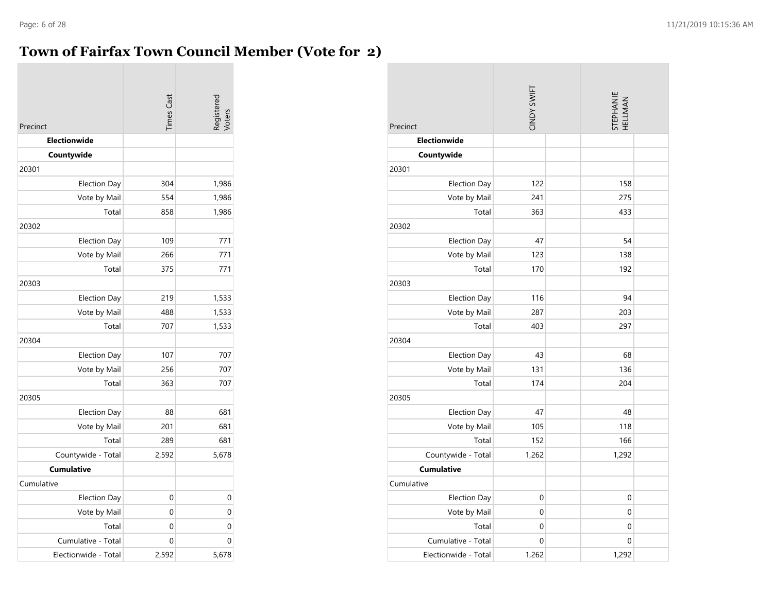$\sim$ 

# **Town of Fairfax Town Council Member (Vote for 2)**

|                                 | <b>Times Cast</b> | Registered<br>Voters |
|---------------------------------|-------------------|----------------------|
| Precinct<br><b>Electionwide</b> |                   |                      |
| Countywide                      |                   |                      |
| 20301                           |                   |                      |
| <b>Election Day</b>             | 304               | 1,986                |
| Vote by Mail                    | 554               | 1,986                |
| Total                           | 858               | 1,986                |
| 20302                           |                   |                      |
| <b>Election Day</b>             | 109               | 771                  |
| Vote by Mail                    | 266               | 771                  |
| Total                           | 375               | 771                  |
| 20303                           |                   |                      |
| <b>Election Day</b>             | 219               | 1,533                |
| Vote by Mail                    | 488               | 1,533                |
| Total                           | 707               | 1,533                |
| 20304                           |                   |                      |
| <b>Election Day</b>             | 107               | 707                  |
| Vote by Mail                    | 256               | 707                  |
| Total                           | 363               | 707                  |
| 20305                           |                   |                      |
| <b>Election Day</b>             | 88                | 681                  |
| Vote by Mail                    | 201               | 681                  |
| Total                           | 289               | 681                  |
| Countywide - Total              | 2,592             | 5,678                |
| <b>Cumulative</b>               |                   |                      |
| Cumulative                      |                   |                      |
| <b>Election Day</b>             | 0                 | 0                    |
| Vote by Mail                    | 0                 | $\mathbf 0$          |
| Total                           | 0                 | 0                    |
| Cumulative - Total              | 0                 | 0                    |
| Electionwide - Total            | 2,592             | 5,678                |

and the state of the con-

| Precinct             | CINDY SWIFT | <b>STEPHANIE</b><br>HELLMAN |  |
|----------------------|-------------|-----------------------------|--|
| Electionwide         |             |                             |  |
| Countywide           |             |                             |  |
| 20301                |             |                             |  |
| <b>Election Day</b>  | 122         | 158                         |  |
| Vote by Mail         | 241         | 275                         |  |
| Total                | 363         | 433                         |  |
| 20302                |             |                             |  |
| <b>Election Day</b>  | 47          | 54                          |  |
| Vote by Mail         | 123         | 138                         |  |
| Total                | 170         | 192                         |  |
| 20303                |             |                             |  |
| <b>Election Day</b>  | 116         | 94                          |  |
| Vote by Mail         | 287         | 203                         |  |
| Total                | 403         | 297                         |  |
| 20304                |             |                             |  |
| <b>Election Day</b>  | 43          | 68                          |  |
| Vote by Mail         | 131         | 136                         |  |
| Total                | 174         | 204                         |  |
| 20305                |             |                             |  |
| <b>Election Day</b>  | 47          | 48                          |  |
| Vote by Mail         | 105         | 118                         |  |
| Total                | 152         | 166                         |  |
| Countywide - Total   | 1,262       | 1,292                       |  |
| <b>Cumulative</b>    |             |                             |  |
| Cumulative           |             |                             |  |
| Election Day         | 0           | 0                           |  |
| Vote by Mail         | 0           | 0                           |  |
| Total                | 0           | $\mathbf 0$                 |  |
| Cumulative - Total   | 0           | 0                           |  |
| Electionwide - Total | 1,262       | 1,292                       |  |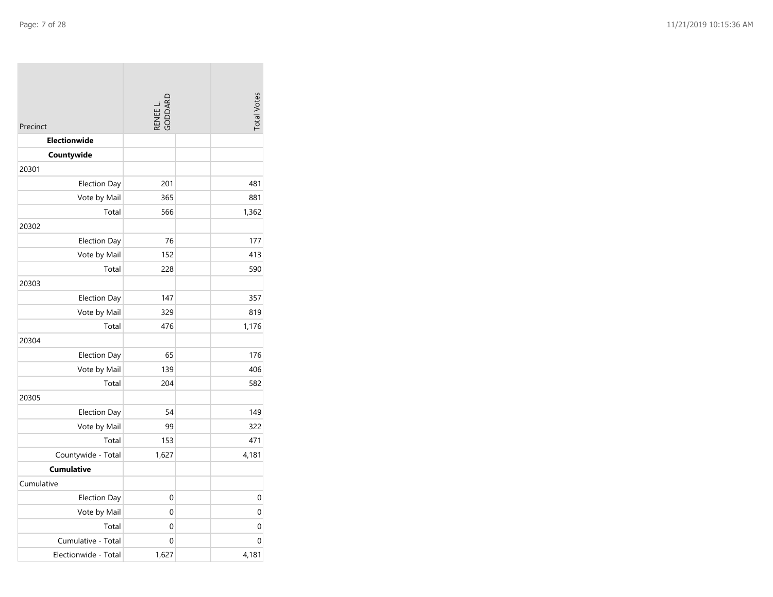| Precinct             | RENEE L.<br>GODDARD | <b>Total Votes</b> |
|----------------------|---------------------|--------------------|
| <b>Electionwide</b>  |                     |                    |
| Countywide           |                     |                    |
| 20301                |                     |                    |
| <b>Election Day</b>  | 201                 | 481                |
| Vote by Mail         | 365                 | 881                |
| Total                | 566                 | 1,362              |
| 20302                |                     |                    |
| <b>Election Day</b>  | 76                  | 177                |
| Vote by Mail         | 152                 | 413                |
| Total                | 228                 | 590                |
| 20303                |                     |                    |
| <b>Election Day</b>  | 147                 | 357                |
| Vote by Mail         | 329                 | 819                |
| Total                | 476                 | 1,176              |
| 20304                |                     |                    |
| <b>Election Day</b>  | 65                  | 176                |
| Vote by Mail         | 139                 | 406                |
| Total                | 204                 | 582                |
| 20305                |                     |                    |
| <b>Election Day</b>  | 54                  | 149                |
| Vote by Mail         | 99                  | 322                |
| Total                | 153                 | 471                |
| Countywide - Total   | 1,627               | 4,181              |
| <b>Cumulative</b>    |                     |                    |
| Cumulative           |                     |                    |
| <b>Election Day</b>  | 0                   | $\mathbf 0$        |
| Vote by Mail         | 0                   | $\mathbf 0$        |
| Total                | 0                   | 0                  |
| Cumulative - Total   | 0                   | $\mathbf 0$        |
| Electionwide - Total | 1,627               | 4,181              |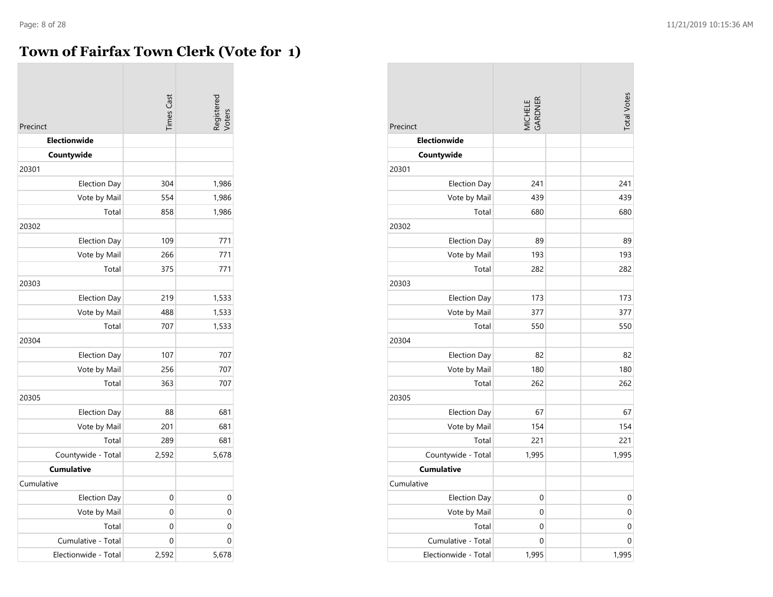# **Town of Fairfax Town Clerk (Vote for 1)**

| Precinct             | <b>Times Cast</b> | Registered<br>Voters |
|----------------------|-------------------|----------------------|
| Electionwide         |                   |                      |
| Countywide           |                   |                      |
| 20301                |                   |                      |
| Election Day         | 304               | 1,986                |
| Vote by Mail         | 554               | 1,986                |
| Total                | 858               | 1,986                |
| 20302                |                   |                      |
| <b>Election Day</b>  | 109               | 771                  |
| Vote by Mail         | 266               | 771                  |
| Total                | 375               | 771                  |
| 20303                |                   |                      |
| <b>Election Day</b>  | 219               | 1,533                |
| Vote by Mail         | 488               | 1,533                |
| Total                | 707               | 1,533                |
| 20304                |                   |                      |
| <b>Election Day</b>  | 107               | 707                  |
| Vote by Mail         | 256               | 707                  |
| Total                | 363               | 707                  |
| 20305                |                   |                      |
| <b>Election Day</b>  | 88                | 681                  |
| Vote by Mail         | 201               | 681                  |
| Total                | 289               | 681                  |
| Countywide - Total   | 2,592             | 5,678                |
| <b>Cumulative</b>    |                   |                      |
| Cumulative           |                   |                      |
| <b>Election Day</b>  | 0                 | 0                    |
| Vote by Mail         | 0                 | 0                    |
| Total                | $\mathbf 0$       | $\mathbf 0$          |
| Cumulative - Total   | 0                 | $\mathbf 0$          |
| Electionwide - Total | 2,592             | 5,678                |

| Precinct             | MICHELE<br>GARDNER | <b>Total Votes</b> |
|----------------------|--------------------|--------------------|
| <b>Electionwide</b>  |                    |                    |
| Countywide           |                    |                    |
| 20301                |                    |                    |
| <b>Election Day</b>  | 241                | 241                |
| Vote by Mail         | 439                | 439                |
| Total                | 680                | 680                |
| 20302                |                    |                    |
| <b>Election Day</b>  | 89                 | 89                 |
| Vote by Mail         | 193                | 193                |
| Total                | 282                | 282                |
| 20303                |                    |                    |
| <b>Election Day</b>  | 173                | 173                |
| Vote by Mail         | 377                | 377                |
| Total                | 550                | 550                |
| 20304                |                    |                    |
| <b>Election Day</b>  | 82                 | 82                 |
| Vote by Mail         | 180                | 180                |
| Total                | 262                | 262                |
| 20305                |                    |                    |
| Election Day         | 67                 | 67                 |
| Vote by Mail         | 154                | 154                |
| Total                | 221                | 221                |
| Countywide - Total   | 1,995              | 1,995              |
| <b>Cumulative</b>    |                    |                    |
| Cumulative           |                    |                    |
| <b>Election Day</b>  | 0                  | 0                  |
| Vote by Mail         | $\mathbf 0$        | 0                  |
| Total                | $\mathbf 0$        | 0                  |
| Cumulative - Total   | 0                  | 0                  |
| Electionwide - Total | 1,995              | 1,995              |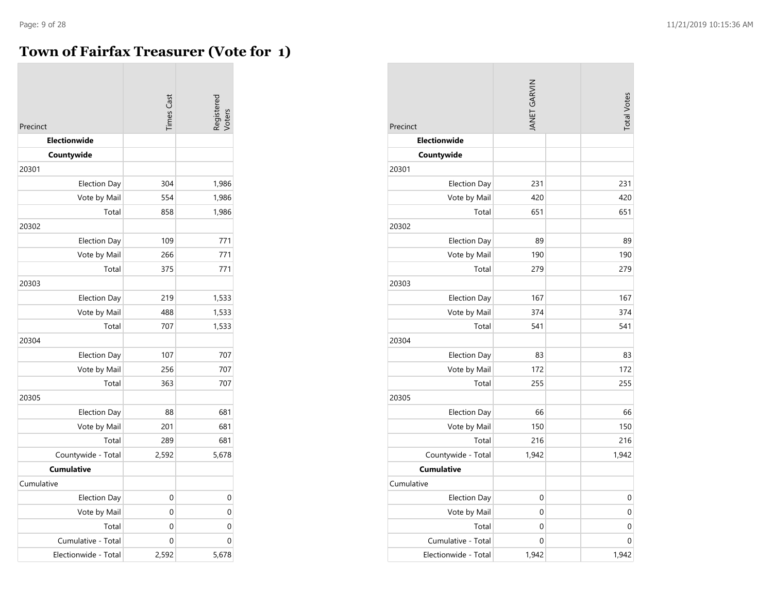# **Town of Fairfax Treasurer (Vote for 1)**

|                      | <b>Times Cast</b> | Registered<br>Voters |
|----------------------|-------------------|----------------------|
| Precinct             |                   |                      |
| <b>Electionwide</b>  |                   |                      |
| Countywide           |                   |                      |
| 20301                |                   |                      |
| <b>Election Day</b>  | 304               | 1,986                |
| Vote by Mail         | 554               | 1,986                |
| Total                | 858               | 1,986                |
| 20302                |                   |                      |
| <b>Election Day</b>  | 109               | 771                  |
| Vote by Mail         | 266               | 771                  |
| Total                | 375               | 771                  |
| 20303                |                   |                      |
| <b>Election Day</b>  | 219               | 1,533                |
| Vote by Mail         | 488               | 1,533                |
| Total                | 707               | 1,533                |
| 20304                |                   |                      |
| <b>Election Day</b>  | 107               | 707                  |
| Vote by Mail         | 256               | 707                  |
| Total                | 363               | 707                  |
| 20305                |                   |                      |
| <b>Election Day</b>  | 88                | 681                  |
| Vote by Mail         | 201               | 681                  |
| Total                | 289               | 681                  |
| Countywide - Total   | 2,592             | 5,678                |
| <b>Cumulative</b>    |                   |                      |
| Cumulative           |                   |                      |
| <b>Election Day</b>  | 0                 | 0                    |
| Vote by Mail         | $\mathbf{0}$      | $\mathbf 0$          |
| Total                | $\mathbf 0$       | $\mathbf 0$          |
| Cumulative - Total   | 0                 | $\mathbf 0$          |
| Electionwide - Total | 2,592             | 5,678                |

| Precinct             | <b>JANET GARVIN</b> | <b>Total Votes</b> |
|----------------------|---------------------|--------------------|
| <b>Electionwide</b>  |                     |                    |
| Countywide           |                     |                    |
| 20301                |                     |                    |
| <b>Election Day</b>  | 231                 | 231                |
| Vote by Mail         | 420                 | 420                |
| Total                | 651                 | 651                |
| 20302                |                     |                    |
| <b>Election Day</b>  | 89                  | 89                 |
| Vote by Mail         | 190                 | 190                |
| Total                | 279                 | 279                |
| 20303                |                     |                    |
| <b>Election Day</b>  | 167                 | 167                |
| Vote by Mail         | 374                 | 374                |
| Total                | 541                 | 541                |
| 20304                |                     |                    |
| Election Day         | 83                  | 83                 |
| Vote by Mail         | 172                 | 172                |
| Total                | 255                 | 255                |
| 20305                |                     |                    |
| <b>Election Day</b>  | 66                  | 66                 |
| Vote by Mail         | 150                 | 150                |
| Total                | 216                 | 216                |
| Countywide - Total   | 1,942               | 1,942              |
| <b>Cumulative</b>    |                     |                    |
| Cumulative           |                     |                    |
| <b>Election Day</b>  | 0                   | 0                  |
| Vote by Mail         | $\mathbf 0$         | 0                  |
| Total                | 0                   | 0                  |
| Cumulative - Total   | 0                   | 0                  |
| Electionwide - Total | 1,942               | 1,942              |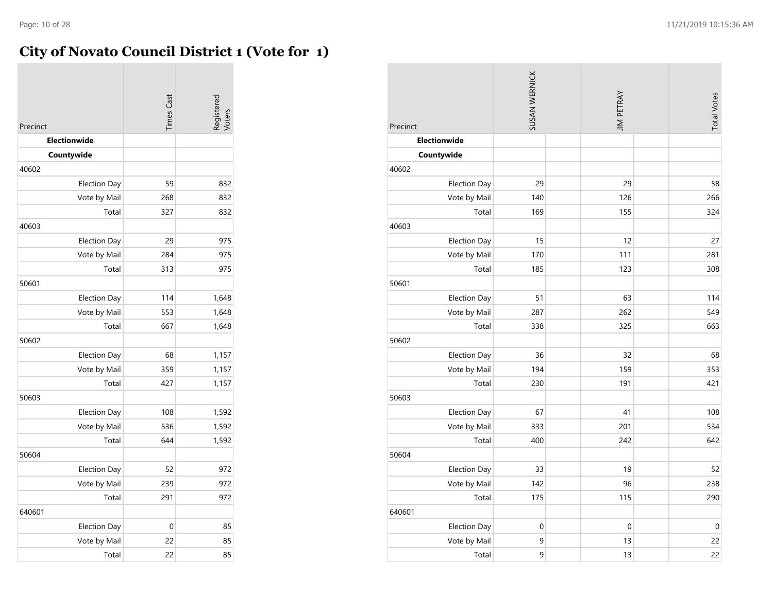# **City of Novato Council District 1 (Vote for 1)**

| Precinct            | <b>Times Cast</b> | Registerec<br>Voters |
|---------------------|-------------------|----------------------|
| Electionwide        |                   |                      |
| Countywide          |                   |                      |
| 40602               |                   |                      |
| Election Day        | 59                | 832                  |
| Vote by Mail        | 268               | 832                  |
| Total               | 327               | 832                  |
| 40603               |                   |                      |
| <b>Election Day</b> | 29                | 975                  |
| Vote by Mail        | 284               | 975                  |
| Total               | 313               | 975                  |
| 50601               |                   |                      |
| <b>Election Day</b> | 114               | 1,648                |
| Vote by Mail        | 553               | 1,648                |
| Total               | 667               | 1,648                |
| 50602               |                   |                      |
| <b>Election Day</b> | 68                | 1,157                |
| Vote by Mail        | 359               | 1,157                |
| Total               | 427               | 1,157                |
| 50603               |                   |                      |
| <b>Election Day</b> | 108               | 1,592                |
| Vote by Mail        | 536               | 1,592                |
| Total               | 644               | 1,592                |
| 50604               |                   |                      |
| Election Day        | 52                | 972                  |
| Vote by Mail        | 239               | 972                  |
| Total               | 291               | 972                  |
| 640601              |                   |                      |
| <b>Election Day</b> | 0                 | 85                   |
| Vote by Mail        | 22                | 85                   |
| Total               | 22                | 85                   |

| Precinct            | SUSAN WERNICK | <b>JIM PETRAY</b> | <b>Total Votes</b> |
|---------------------|---------------|-------------------|--------------------|
| Electionwide        |               |                   |                    |
| Countywide          |               |                   |                    |
| 40602               |               |                   |                    |
| <b>Election Day</b> | 29            | 29                | 58                 |
| Vote by Mail        | 140           | 126               | 266                |
| Total               | 169           | 155               | 324                |
| 40603               |               |                   |                    |
| <b>Election Day</b> | 15            | 12                | 27                 |
| Vote by Mail        | 170           | 111               | 281                |
| Total               | 185           | 123               | 308                |
| 50601               |               |                   |                    |
| <b>Election Day</b> | 51            | 63                | 114                |
| Vote by Mail        | 287           | 262               | 549                |
| Total               | 338           | 325               | 663                |
| 50602               |               |                   |                    |
| Election Day        | 36            | 32                | 68                 |
| Vote by Mail        | 194           | 159               | 353                |
| Total               | 230           | 191               | 421                |
| 50603               |               |                   |                    |
| <b>Election Day</b> | 67            | 41                | 108                |
| Vote by Mail        | 333           | 201               | 534                |
| Total               | 400           | 242               | 642                |
| 50604               |               |                   |                    |
| <b>Election Day</b> | 33            | 19                | 52                 |
| Vote by Mail        | 142           | 96                | 238                |
| Total               | 175           | 115               | 290                |
| 640601              |               |                   |                    |
| <b>Election Day</b> | $\mathbf 0$   | $\boldsymbol{0}$  | $\boldsymbol{0}$   |
| Vote by Mail        | 9             | 13                | 22                 |
| Total               | 9             | 13                | 22                 |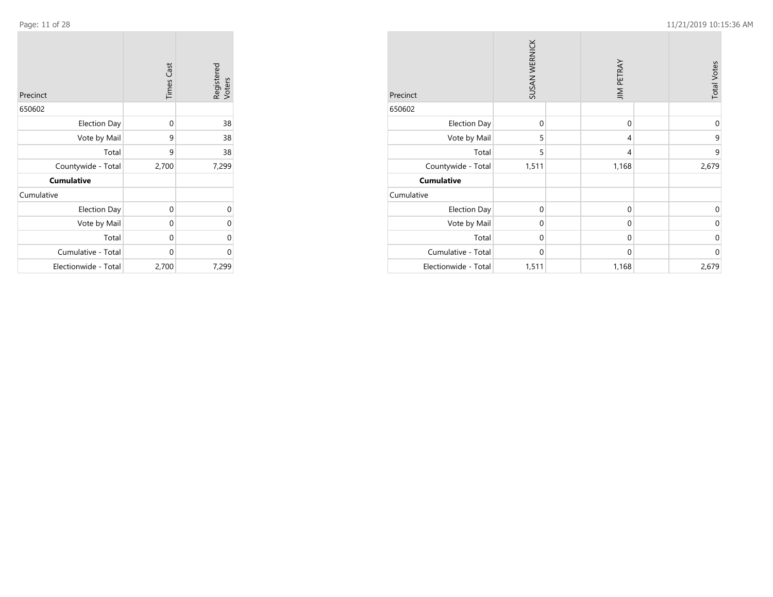**COL** 

|                      | <b>Times Cast</b> | Registered<br>Voters |
|----------------------|-------------------|----------------------|
| Precinct             |                   |                      |
| 650602               |                   |                      |
| <b>Election Day</b>  | 0                 | 38                   |
| Vote by Mail         | 9                 | 38                   |
| Total                | 9                 | 38                   |
| Countywide - Total   | 2,700             | 7,299                |
| <b>Cumulative</b>    |                   |                      |
| Cumulative           |                   |                      |
| <b>Election Day</b>  | 0                 | $\Omega$             |
| Vote by Mail         | 0                 | 0                    |
| Total                | 0                 | 0                    |
| Cumulative - Total   | 0                 | 0                    |
| Electionwide - Total | 2,700             | 7,299                |

| Precinct             | SUSAN WERNICK |  | <b>JIM PETRAY</b> | <b>Total Votes</b> |
|----------------------|---------------|--|-------------------|--------------------|
| 650602               |               |  |                   |                    |
| <b>Election Day</b>  | $\mathbf 0$   |  | $\mathbf 0$       | 0                  |
| Vote by Mail         | 5             |  | 4                 | 9                  |
| Total                | 5             |  | 4                 | 9                  |
| Countywide - Total   | 1,511         |  | 1,168             | 2,679              |
| <b>Cumulative</b>    |               |  |                   |                    |
| Cumulative           |               |  |                   |                    |
| <b>Election Day</b>  | $\mathbf 0$   |  | $\mathbf 0$       | 0                  |
| Vote by Mail         | $\mathbf{0}$  |  | $\mathbf 0$       | $\mathbf{0}$       |
| Total                | $\mathbf 0$   |  | $\mathbf 0$       | $\mathbf 0$        |
| Cumulative - Total   | $\mathbf{0}$  |  | $\mathbf 0$       | $\mathbf 0$        |
| Electionwide - Total | 1,511         |  | 1,168             | 2,679              |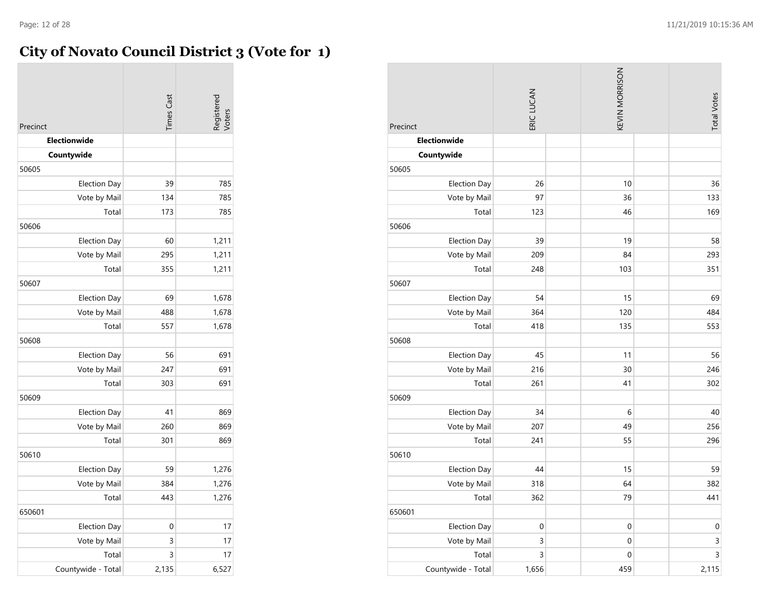# **City of Novato Council District 3 (Vote for 1)**

| Precinct<br>Electionwide<br>Countywide | <b>Times Cast</b> | legisterec<br><b>/oters</b> |
|----------------------------------------|-------------------|-----------------------------|
|                                        |                   |                             |
| 50605                                  | 39                | 785                         |
| <b>Election Day</b>                    | 134               | 785                         |
| Vote by Mail<br>Total                  | 173               | 785                         |
| 50606                                  |                   |                             |
| <b>Election Day</b>                    | 60                | 1,211                       |
| Vote by Mail                           | 295               | 1,211                       |
| Total                                  | 355               | 1,211                       |
| 50607                                  |                   |                             |
| <b>Election Day</b>                    | 69                | 1,678                       |
| Vote by Mail                           | 488               | 1,678                       |
| Total                                  | 557               | 1,678                       |
| 50608                                  |                   |                             |
| <b>Election Day</b>                    | 56                | 691                         |
| Vote by Mail                           | 247               | 691                         |
| Total                                  | 303               | 691                         |
| 50609                                  |                   |                             |
| <b>Election Day</b>                    | 41                | 869                         |
| Vote by Mail                           | 260               | 869                         |
| Total                                  | 301               | 869                         |
| 50610                                  |                   |                             |
| <b>Election Day</b>                    | 59                | 1,276                       |
| Vote by Mail                           | 384               | 1,276                       |
| Total                                  | 443               | 1,276                       |
| 650601                                 |                   |                             |
| <b>Election Day</b>                    | 0                 | 17                          |
| Vote by Mail                           | 3                 | 17                          |
| Total                                  | 3                 | 17                          |
| Countywide - Total                     | 2,135             | 6,527                       |

| Precinct            | ERIC LUCAN       | KEVIN MORRISON   | <b>Total Votes</b> |
|---------------------|------------------|------------------|--------------------|
| Electionwide        |                  |                  |                    |
| Countywide          |                  |                  |                    |
| 50605               |                  |                  |                    |
| Election Day        | 26               | 10               | 36                 |
| Vote by Mail        | 97               | 36               | 133                |
| Total               | 123              | 46               | 169                |
| 50606               |                  |                  |                    |
| Election Day        | 39               | 19               | 58                 |
| Vote by Mail        | 209              | 84               | 293                |
| Total               | 248              | 103              | 351                |
| 50607               |                  |                  |                    |
| Election Day        | 54               | 15               | 69                 |
| Vote by Mail        | 364              | 120              | 484                |
| Total               | 418              | 135              | 553                |
| 50608               |                  |                  |                    |
| <b>Election Day</b> | 45               | 11               | 56                 |
| Vote by Mail        | 216              | 30               | 246                |
| Total               | 261              | 41               | 302                |
| 50609               |                  |                  |                    |
| <b>Election Day</b> | 34               | $\,$ 6 $\,$      | 40                 |
| Vote by Mail        | 207              | 49               | 256                |
| Total               | 241              | 55               | 296                |
| 50610               |                  |                  |                    |
| <b>Election Day</b> | 44               | 15               | 59                 |
| Vote by Mail        | 318              | 64               | 382                |
| Total               | 362              | 79               | 441                |
| 650601              |                  |                  |                    |
| <b>Election Day</b> | $\boldsymbol{0}$ | $\boldsymbol{0}$ | $\boldsymbol{0}$   |
| Vote by Mail        | 3                | $\boldsymbol{0}$ | 3                  |
| Total               | $\overline{3}$   | $\boldsymbol{0}$ | $\overline{3}$     |
| Countywide - Total  | 1,656            | 459              | 2,115              |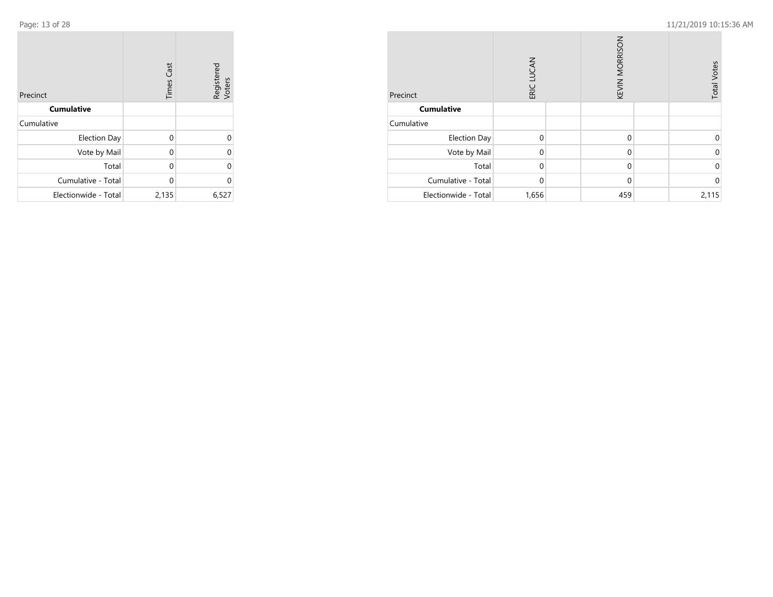$\sim$ 

| Precinct             | <b>Times Cast</b> | Registered<br>Voters |
|----------------------|-------------------|----------------------|
| <b>Cumulative</b>    |                   |                      |
| Cumulative           |                   |                      |
| <b>Election Day</b>  | 0                 | 0                    |
| Vote by Mail         | 0                 | 0                    |
| Total                | 0                 | 0                    |
| Cumulative - Total   | 0                 | 0                    |
| Electionwide - Total | 2,135             | 6,527                |

| Precinct             | ERIC LUCAN |  | KEVIN MORRISON | <b>Total Votes</b> |
|----------------------|------------|--|----------------|--------------------|
| <b>Cumulative</b>    |            |  |                |                    |
| Cumulative           |            |  |                |                    |
| <b>Election Day</b>  | $\Omega$   |  | $\mathbf{0}$   | ი                  |
| Vote by Mail         | $\Omega$   |  | $\mathbf{0}$   | ი                  |
| Total                | $\Omega$   |  | $\mathbf{0}$   | ი                  |
| Cumulative - Total   | $\Omega$   |  | $\mathbf 0$    | n                  |
| Electionwide - Total | 1,656      |  | 459            | 2,115              |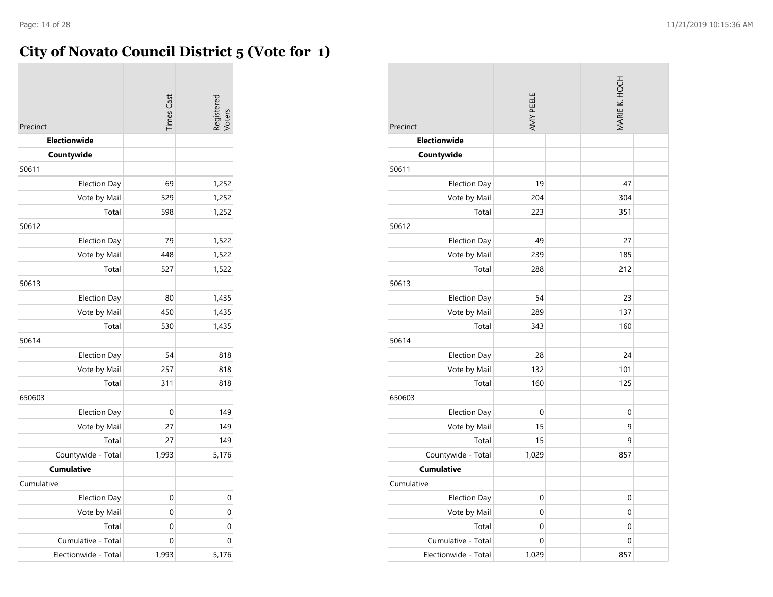# **City of Novato Council District 5 (Vote for 1)**

|                      | <b>Times</b> Cast | Registerec<br><b>/oters</b> |
|----------------------|-------------------|-----------------------------|
| Precinct             |                   |                             |
| <b>Electionwide</b>  |                   |                             |
| Countywide           |                   |                             |
| 50611                |                   |                             |
| <b>Election Day</b>  | 69                | 1,252                       |
| Vote by Mail         | 529               | 1,252                       |
| Total                | 598               | 1,252                       |
| 50612                |                   |                             |
| <b>Election Day</b>  | 79                | 1,522                       |
| Vote by Mail         | 448               | 1,522                       |
| Total                | 527               | 1,522                       |
| 50613                |                   |                             |
| Election Day         | 80                | 1,435                       |
| Vote by Mail         | 450               | 1,435                       |
| Total                | 530               | 1,435                       |
| 50614                |                   |                             |
| <b>Election Day</b>  | 54                | 818                         |
| Vote by Mail         | 257               | 818                         |
| Total                | 311               | 818                         |
| 650603               |                   |                             |
| <b>Election Day</b>  | 0                 | 149                         |
| Vote by Mail         | 27                | 149                         |
| Total                | 27                | 149                         |
| Countywide - Total   | 1,993             | 5,176                       |
| <b>Cumulative</b>    |                   |                             |
| Cumulative           |                   |                             |
| <b>Election Day</b>  | 0                 | 0                           |
| Vote by Mail         | 0                 | 0                           |
| Total                | 0                 | 0                           |
| Cumulative - Total   | 0                 | $\mathbf 0$                 |
| Electionwide - Total | 1,993             | 5,176                       |

| Precinct             | AMY PEELE | MARIE K. HOCH |  |
|----------------------|-----------|---------------|--|
| Electionwide         |           |               |  |
| Countywide           |           |               |  |
| 50611                |           |               |  |
| <b>Election Day</b>  | 19        | 47            |  |
| Vote by Mail         | 204       | 304           |  |
| Total                | 223       | 351           |  |
| 50612                |           |               |  |
| <b>Election Day</b>  | 49        | 27            |  |
| Vote by Mail         | 239       | 185           |  |
| Total                | 288       | 212           |  |
| 50613                |           |               |  |
| <b>Election Day</b>  | 54        | 23            |  |
| Vote by Mail         | 289       | 137           |  |
| Total                | 343       | 160           |  |
| 50614                |           |               |  |
| <b>Election Day</b>  | 28        | 24            |  |
| Vote by Mail         | 132       | 101           |  |
| Total                | 160       | 125           |  |
| 650603               |           |               |  |
| <b>Election Day</b>  | 0         | 0             |  |
| Vote by Mail         | 15        | 9             |  |
| Total                | 15        | 9             |  |
| Countywide - Total   | 1,029     | 857           |  |
| <b>Cumulative</b>    |           |               |  |
| Cumulative           |           |               |  |
| Election Day         | 0         | 0             |  |
| Vote by Mail         | 0         | 0             |  |
| Total                | 0         | 0             |  |
| Cumulative - Total   | 0         | 0             |  |
| Electionwide - Total | 1,029     | 857           |  |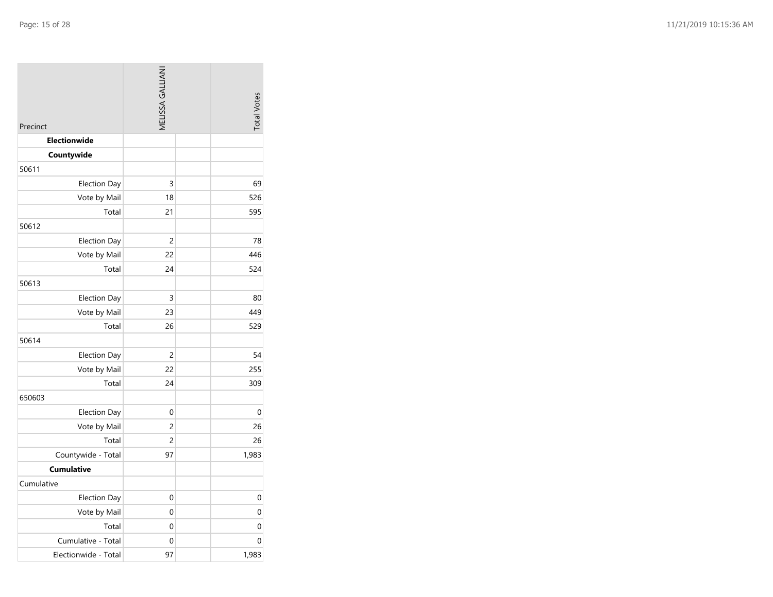| Precinct             | MELISSA GALLIANI | <b>Total Votes</b> |
|----------------------|------------------|--------------------|
| Electionwide         |                  |                    |
| Countywide           |                  |                    |
| 50611                |                  |                    |
| <b>Election Day</b>  | 3                | 69                 |
| Vote by Mail         | 18               | 526                |
| Total                | 21               | 595                |
| 50612                |                  |                    |
| <b>Election Day</b>  | 2                | 78                 |
| Vote by Mail         | 22               | 446                |
| Total                | 24               | 524                |
| 50613                |                  |                    |
| <b>Election Day</b>  | 3                | 80                 |
| Vote by Mail         | 23               | 449                |
| Total                | 26               | 529                |
| 50614                |                  |                    |
| <b>Election Day</b>  | 2                | 54                 |
| Vote by Mail         | 22               | 255                |
| Total                | 24               | 309                |
| 650603               |                  |                    |
| <b>Election Day</b>  | 0                | 0                  |
| Vote by Mail         | 2                | 26                 |
| Total                | 2                | 26                 |
| Countywide - Total   | 97               | 1,983              |
| <b>Cumulative</b>    |                  |                    |
| Cumulative           |                  |                    |
| <b>Election Day</b>  | 0                | 0                  |
| Vote by Mail         | 0                | 0                  |
| Total                | 0                | 0                  |
| Cumulative - Total   | 0                | 0                  |
| Electionwide - Total | 97               | 1,983              |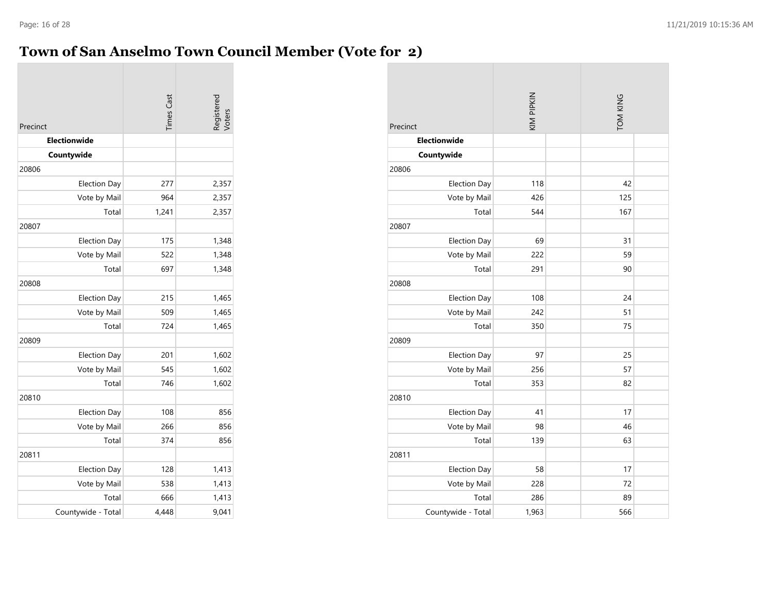# **Town of San Anselmo Town Council Member (Vote for 2)**

|                            | <b>Times Cast</b> | Registered<br>Voters |
|----------------------------|-------------------|----------------------|
| Precinct                   |                   |                      |
| Electionwide<br>Countywide |                   |                      |
| 20806                      |                   |                      |
| <b>Election Day</b>        | 277               | 2,357                |
| Vote by Mail               | 964               | 2,357                |
| Total                      | 1,241             | 2,357                |
| 20807                      |                   |                      |
| <b>Election Day</b>        | 175               | 1,348                |
| Vote by Mail               | 522               | 1,348                |
| Total                      | 697               | 1,348                |
| 20808                      |                   |                      |
| <b>Election Day</b>        | 215               | 1,465                |
| Vote by Mail               | 509               | 1,465                |
| Total                      | 724               | 1,465                |
| 20809                      |                   |                      |
| <b>Election Day</b>        | 201               | 1,602                |
| Vote by Mail               | 545               | 1,602                |
| Total                      | 746               | 1,602                |
| 20810                      |                   |                      |
| <b>Election Day</b>        | 108               | 856                  |
| Vote by Mail               | 266               | 856                  |
| Total                      | 374               | 856                  |
| 20811                      |                   |                      |
| <b>Election Day</b>        | 128               | 1,413                |
| Vote by Mail               | 538               | 1,413                |
| Total                      | 666               | 1,413                |
| Countywide - Total         | 4,448             | 9,041                |

| Precinct            | KIM PIPKIN |  | TOM KING |  |
|---------------------|------------|--|----------|--|
| <b>Electionwide</b> |            |  |          |  |
| Countywide          |            |  |          |  |
| 20806               |            |  |          |  |
| <b>Election Day</b> | 118        |  | 42       |  |
| Vote by Mail        | 426        |  | 125      |  |
| Total               | 544        |  | 167      |  |
| 20807               |            |  |          |  |
| <b>Election Day</b> | 69         |  | 31       |  |
| Vote by Mail        | 222        |  | 59       |  |
| Total               | 291        |  | 90       |  |
| 20808               |            |  |          |  |
| <b>Election Day</b> | 108        |  | 24       |  |
| Vote by Mail        | 242        |  | 51       |  |
| Total               | 350        |  | 75       |  |
| 20809               |            |  |          |  |
| <b>Election Day</b> | 97         |  | 25       |  |
| Vote by Mail        | 256        |  | 57       |  |
| Total               | 353        |  | 82       |  |
| 20810               |            |  |          |  |
| <b>Election Day</b> | 41         |  | 17       |  |
| Vote by Mail        | 98         |  | 46       |  |
| Total               | 139        |  | 63       |  |
| 20811               |            |  |          |  |
| <b>Election Day</b> | 58         |  | 17       |  |
| Vote by Mail        | 228        |  | 72       |  |
| Total               | 286        |  | 89       |  |
| Countywide - Total  | 1,963      |  | 566      |  |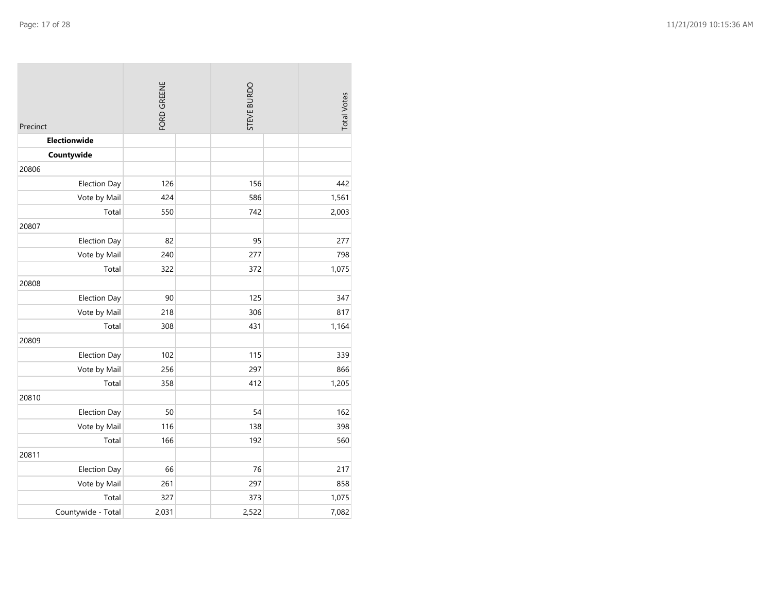| Precinct            | FORD GREENE | STEVE BURDO | <b>Total Votes</b> |
|---------------------|-------------|-------------|--------------------|
| Electionwide        |             |             |                    |
| Countywide          |             |             |                    |
| 20806               |             |             |                    |
| <b>Election Day</b> | 126         | 156         | 442                |
| Vote by Mail        | 424         | 586         | 1,561              |
| Total               | 550         | 742         | 2,003              |
| 20807               |             |             |                    |
| <b>Election Day</b> | 82          | 95          | 277                |
| Vote by Mail        | 240         | 277         | 798                |
| Total               | 322         | 372         | 1,075              |
| 20808               |             |             |                    |
| <b>Election Day</b> | 90          | 125         | 347                |
| Vote by Mail        | 218         | 306         | 817                |
| Total               | 308         | 431         | 1,164              |
| 20809               |             |             |                    |
| <b>Election Day</b> | 102         | 115         | 339                |
| Vote by Mail        | 256         | 297         | 866                |
| Total               | 358         | 412         | 1,205              |
| 20810               |             |             |                    |
| <b>Election Day</b> | 50          | 54          | 162                |
| Vote by Mail        | 116         | 138         | 398                |
| Total               | 166         | 192         | 560                |
| 20811               |             |             |                    |
| <b>Election Day</b> | 66          | 76          | 217                |
| Vote by Mail        | 261         | 297         | 858                |
| Total               | 327         | 373         | 1,075              |
| Countywide - Total  | 2,031       | 2,522       | 7,082              |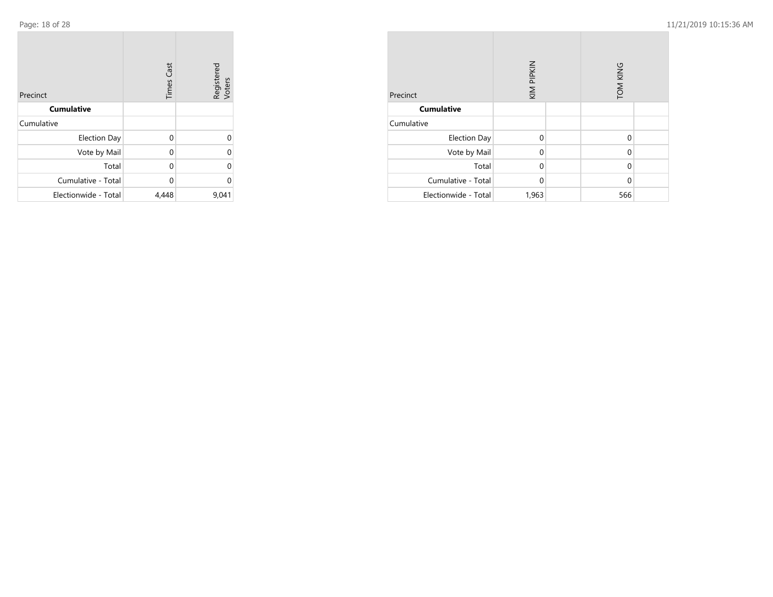| Precinct             | <b>Times Cast</b> | Registered<br>Voters |
|----------------------|-------------------|----------------------|
| <b>Cumulative</b>    |                   |                      |
| Cumulative           |                   |                      |
| <b>Election Day</b>  | 0                 | 0                    |
| Vote by Mail         | 0                 | $\Omega$             |
| Total                | 0                 | $\Omega$             |
| Cumulative - Total   | 0                 | $\Omega$             |
| Electionwide - Total | 4,448             | 9,041                |

| Precinct             | KIM PIPKIN |  | TOM KING |  |
|----------------------|------------|--|----------|--|
| <b>Cumulative</b>    |            |  |          |  |
| Cumulative           |            |  |          |  |
| <b>Election Day</b>  | $\Omega$   |  | $\Omega$ |  |
| Vote by Mail         | 0          |  | 0        |  |
| Total                | 0          |  | $\Omega$ |  |
| Cumulative - Total   | 0          |  | $\Omega$ |  |
| Electionwide - Total | 1,963      |  | 566      |  |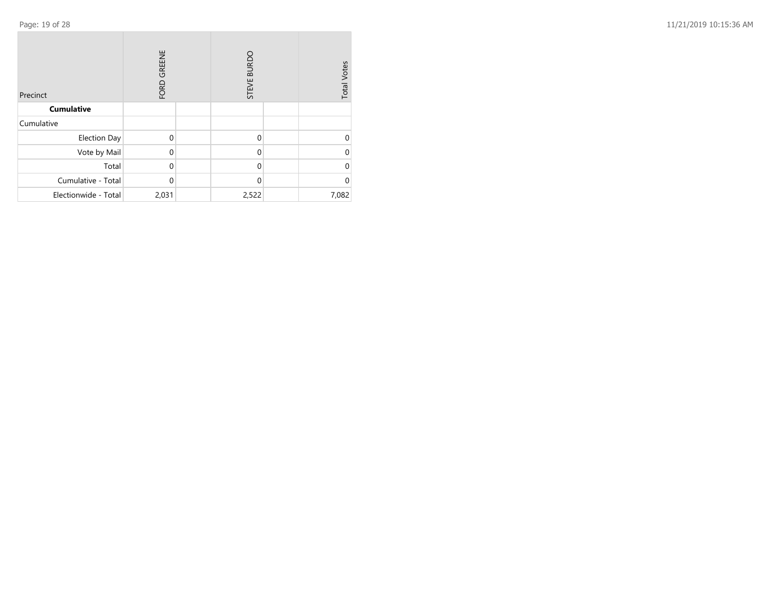| Precinct             | FORD GREENE  |  | STEVE BURDO |  | <b>Total Votes</b> |
|----------------------|--------------|--|-------------|--|--------------------|
| <b>Cumulative</b>    |              |  |             |  |                    |
| Cumulative           |              |  |             |  |                    |
| <b>Election Day</b>  | $\Omega$     |  | $\Omega$    |  | 0                  |
| Vote by Mail         | $\Omega$     |  | $\Omega$    |  | 0                  |
| Total                | $\mathbf{0}$ |  | $\Omega$    |  | 0                  |
| Cumulative - Total   | $\mathbf 0$  |  | $\Omega$    |  | 0                  |
| Electionwide - Total | 2,031        |  | 2,522       |  | 7,082              |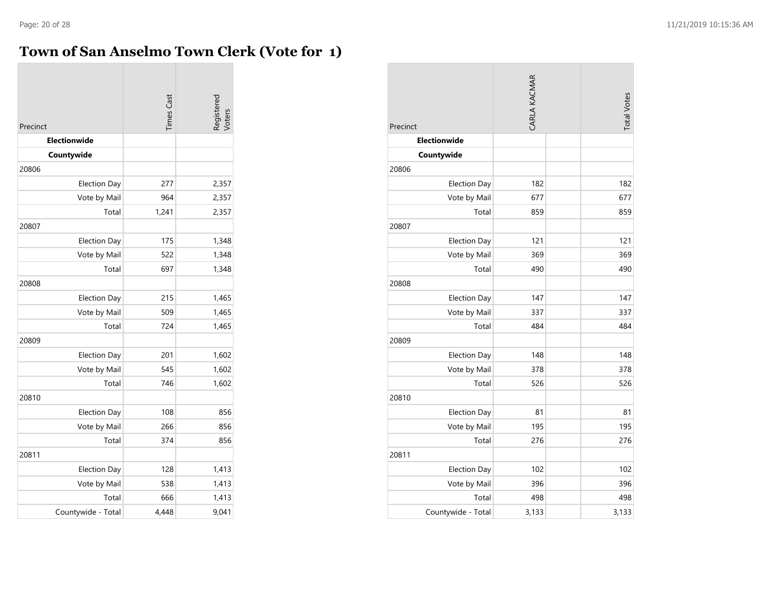# **Town of San Anselmo Town Clerk (Vote for 1)**

| Precinct            | <b>Times Cast</b> | Registered<br>Voters |
|---------------------|-------------------|----------------------|
| <b>Electionwide</b> |                   |                      |
| Countywide          |                   |                      |
| 20806               |                   |                      |
| <b>Election Day</b> | 277               | 2,357                |
| Vote by Mail        | 964               | 2,357                |
| Total               | 1,241             | 2,357                |
| 20807               |                   |                      |
| <b>Election Day</b> | 175               | 1,348                |
| Vote by Mail        | 522               | 1,348                |
| Total               | 697               | 1,348                |
| 20808               |                   |                      |
| <b>Election Day</b> | 215               | 1,465                |
| Vote by Mail        | 509               | 1,465                |
| Total               | 724               | 1,465                |
| 20809               |                   |                      |
| <b>Election Day</b> | 201               | 1,602                |
| Vote by Mail        | 545               | 1,602                |
| Total               | 746               | 1,602                |
| 20810               |                   |                      |
| <b>Election Day</b> | 108               | 856                  |
| Vote by Mail        | 266               | 856                  |
| Total               | 374               | 856                  |
| 20811               |                   |                      |
| <b>Election Day</b> | 128               | 1,413                |
| Vote by Mail        | 538               | 1,413                |
| Total               | 666               | 1,413                |
| Countywide - Total  | 4.448             | 9,041                |

| Precinct            | CARLA KACMAR | <b>Total Votes</b> |
|---------------------|--------------|--------------------|
| Electionwide        |              |                    |
| Countywide          |              |                    |
| 20806               |              |                    |
| <b>Election Day</b> | 182          | 182                |
| Vote by Mail        | 677          | 677                |
| Total               | 859          | 859                |
| 20807               |              |                    |
| <b>Election Day</b> | 121          | 121                |
| Vote by Mail        | 369          | 369                |
| Total               | 490          | 490                |
| 20808               |              |                    |
| <b>Election Day</b> | 147          | 147                |
| Vote by Mail        | 337          | 337                |
| Total               | 484          | 484                |
| 20809               |              |                    |
| <b>Election Day</b> | 148          | 148                |
| Vote by Mail        | 378          | 378                |
| Total               | 526          | 526                |
| 20810               |              |                    |
| <b>Election Day</b> | 81           | 81                 |
| Vote by Mail        | 195          | 195                |
| Total               | 276          | 276                |
| 20811               |              |                    |
| <b>Election Day</b> | 102          | 102                |
| Vote by Mail        | 396          | 396                |
| Total               | 498          | 498                |
| Countywide - Total  | 3,133        | 3,133              |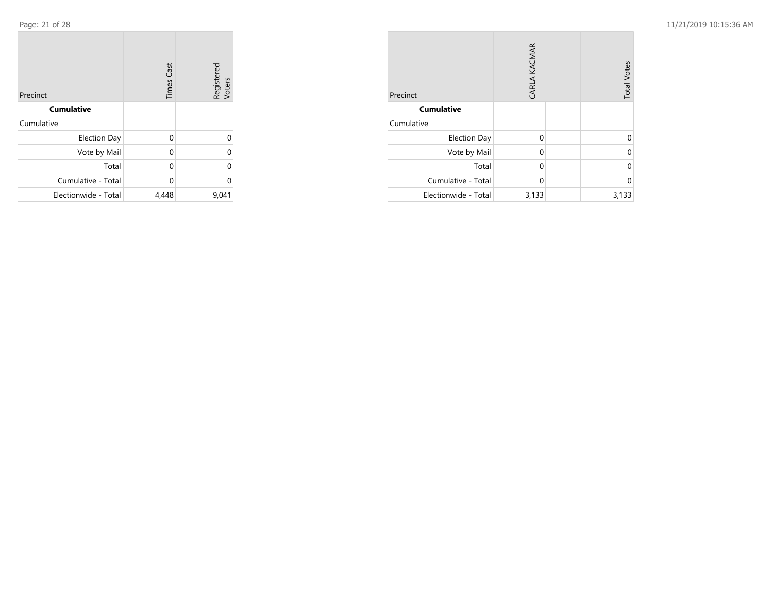| Precinct             | <b>Times Cast</b> | Registered<br>Voters |
|----------------------|-------------------|----------------------|
| <b>Cumulative</b>    |                   |                      |
| Cumulative           |                   |                      |
| <b>Election Day</b>  | $\Omega$          | $\Omega$             |
| Vote by Mail         | $\Omega$          | $\Omega$             |
| Total                | 0                 | $\Omega$             |
| Cumulative - Total   | 0                 | $\Omega$             |
| Electionwide - Total | 4,448             | 9,041                |

| Precinct             | CARLA KACMAR | <b>Total Votes</b> |       |
|----------------------|--------------|--------------------|-------|
| <b>Cumulative</b>    |              |                    |       |
| Cumulative           |              |                    |       |
| <b>Election Day</b>  | $\Omega$     |                    |       |
| Vote by Mail         | 0            |                    |       |
| Total                | 0            |                    | Ω     |
| Cumulative - Total   | $\Omega$     |                    | U     |
| Electionwide - Total | 3,133        |                    | 3,133 |

**COL**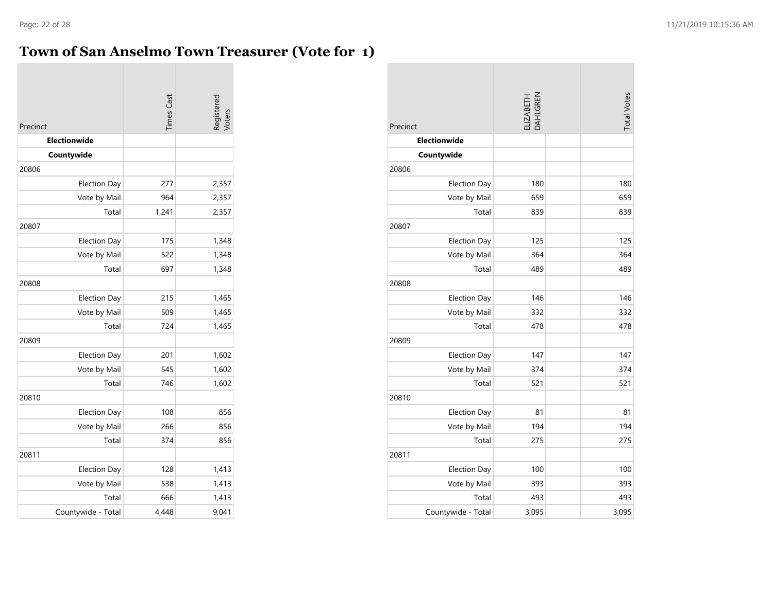# **Town of San Anselmo Town Treasurer (Vote for 1)**

| Precinct            | <b>Times</b> Cast | Registered<br>Voters |
|---------------------|-------------------|----------------------|
| Electionwide        |                   |                      |
| Countywide          |                   |                      |
| 20806               |                   |                      |
| <b>Election Day</b> | 277               | 2,357                |
| Vote by Mail        | 964               | 2,357                |
| Total               | 1,241             | 2,357                |
| 20807               |                   |                      |
| <b>Election Day</b> | 175               | 1,348                |
| Vote by Mail        | 522               | 1,348                |
| Total               | 697               | 1,348                |
| 20808               |                   |                      |
| <b>Election Day</b> | 215               | 1,465                |
| Vote by Mail        | 509               | 1,465                |
| Total               | 724               | 1,465                |
| 20809               |                   |                      |
| <b>Election Day</b> | 201               | 1,602                |
| Vote by Mail        | 545               | 1,602                |
| Total               | 746               | 1,602                |
| 20810               |                   |                      |
| <b>Election Day</b> | 108               | 856                  |
| Vote by Mail        | 266               | 856                  |
| Total               | 374               | 856                  |
| 20811               |                   |                      |
| <b>Election Day</b> | 128               | 1,413                |
| Vote by Mail        | 538               | 1,413                |
| Total               | 666               | 1,413                |
| Countywide - Total  | 4.448             | 9,041                |

| Precinct            | ELIZABETH<br>DAHLGREN | <b>Total Votes</b> |
|---------------------|-----------------------|--------------------|
| <b>Electionwide</b> |                       |                    |
| Countywide          |                       |                    |
| 20806               |                       |                    |
| <b>Election Day</b> | 180                   | 180                |
| Vote by Mail        | 659                   | 659                |
| Total               | 839                   | 839                |
| 20807               |                       |                    |
| <b>Election Day</b> | 125                   | 125                |
| Vote by Mail        | 364                   | 364                |
| Total               | 489                   | 489                |
| 20808               |                       |                    |
| <b>Election Day</b> | 146                   | 146                |
| Vote by Mail        | 332                   | 332                |
| Total               | 478                   | 478                |
| 20809               |                       |                    |
| <b>Election Day</b> | 147                   | 147                |
| Vote by Mail        | 374                   | 374                |
| Total               | 521                   | 521                |
| 20810               |                       |                    |
| <b>Election Day</b> | 81                    | 81                 |
| Vote by Mail        | 194                   | 194                |
| Total               | 275                   | 275                |
| 20811               |                       |                    |
| <b>Election Day</b> | 100                   | 100                |
| Vote by Mail        | 393                   | 393                |
| Total               | 493                   | 493                |
| Countywide - Total  | 3,095                 | 3,095              |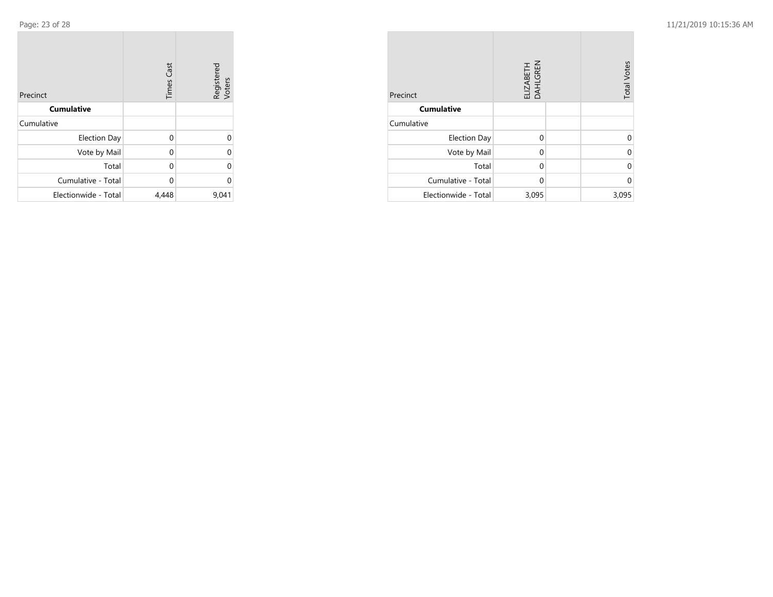| Precinct             | <b>Times Cast</b> | Registered<br>Voters |
|----------------------|-------------------|----------------------|
| <b>Cumulative</b>    |                   |                      |
| Cumulative           |                   |                      |
| <b>Election Day</b>  | $\Omega$          | 0                    |
| Vote by Mail         | 0                 | 0                    |
| Total                | 0                 | 0                    |
| Cumulative - Total   | 0                 | 0                    |
| Electionwide - Total | 4,448             | 9,041                |

| Precinct             | ELIZABETH<br>DAHLGREN | <b>Total Votes</b> |
|----------------------|-----------------------|--------------------|
| <b>Cumulative</b>    |                       |                    |
| Cumulative           |                       |                    |
| <b>Election Day</b>  | $\Omega$              |                    |
| Vote by Mail         | $\Omega$              | U                  |
| Total                | $\Omega$              | ሰ                  |
| Cumulative - Total   | $\Omega$              | U                  |
| Electionwide - Total | 3,095                 | 3,095              |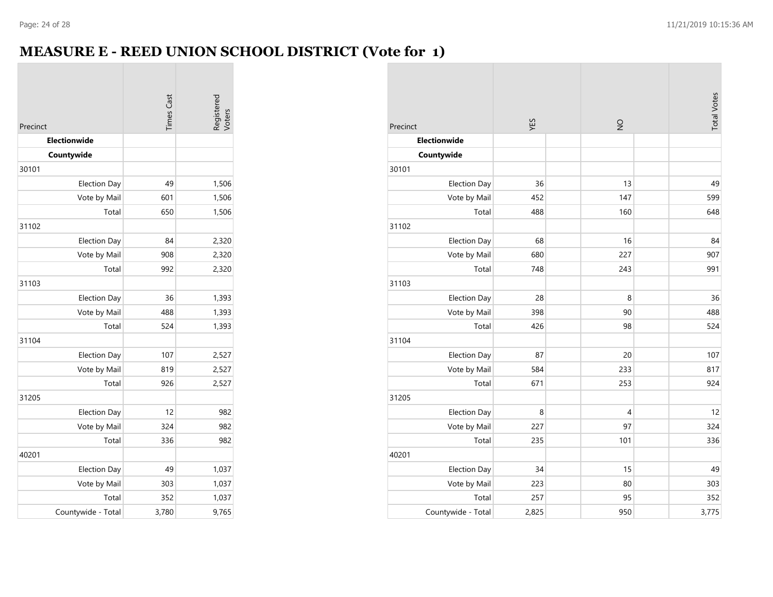# **MEASURE E - REED UNION SCHOOL DISTRICT (Vote for 1)**

| Precinct            | <b>Times Cast</b> | Registered<br>Voters |
|---------------------|-------------------|----------------------|
| <b>Electionwide</b> |                   |                      |
| Countywide          |                   |                      |
| 30101               |                   |                      |
| <b>Election Day</b> | 49                | 1,506                |
| Vote by Mail        | 601               | 1,506                |
| Total               | 650               | 1,506                |
| 31102               |                   |                      |
| <b>Election Day</b> | 84                | 2,320                |
| Vote by Mail        | 908               | 2,320                |
| Total               | 992               | 2,320                |
| 31103               |                   |                      |
| <b>Election Day</b> | 36                | 1,393                |
| Vote by Mail        | 488               | 1,393                |
| Total               | 524               | 1,393                |
| 31104               |                   |                      |
| <b>Election Day</b> | 107               | 2,527                |
| Vote by Mail        | 819               | 2,527                |
| Total               | 926               | 2,527                |
| 31205               |                   |                      |
| <b>Election Day</b> | 12                | 982                  |
| Vote by Mail        | 324               | 982                  |
| Total               | 336               | 982                  |
| 40201               |                   |                      |
| <b>Election Day</b> | 49                | 1,037                |
| Vote by Mail        | 303               | 1,037                |
| Total               | 352               | 1,037                |
| Countywide - Total  | 3,780             | 9,765                |

| Precinct            | YES   | $\frac{0}{2}$  | <b>Total Votes</b> |
|---------------------|-------|----------------|--------------------|
| Electionwide        |       |                |                    |
| Countywide          |       |                |                    |
| 30101               |       |                |                    |
| <b>Election Day</b> | 36    | 13             | 49                 |
| Vote by Mail        | 452   | 147            | 599                |
| Total               | 488   | 160            | 648                |
| 31102               |       |                |                    |
| <b>Election Day</b> | 68    | 16             | 84                 |
| Vote by Mail        | 680   | 227            | 907                |
| Total               | 748   | 243            | 991                |
| 31103               |       |                |                    |
| <b>Election Day</b> | 28    | 8              | 36                 |
| Vote by Mail        | 398   | 90             | 488                |
| Total               | 426   | 98             | 524                |
| 31104               |       |                |                    |
| <b>Election Day</b> | 87    | 20             | 107                |
| Vote by Mail        | 584   | 233            | 817                |
| Total               | 671   | 253            | 924                |
| 31205               |       |                |                    |
| <b>Election Day</b> | 8     | $\overline{4}$ | 12                 |
| Vote by Mail        | 227   | 97             | 324                |
| Total               | 235   | 101            | 336                |
| 40201               |       |                |                    |
| <b>Election Day</b> | 34    | 15             | 49                 |
| Vote by Mail        | 223   | 80             | 303                |
| Total               | 257   | 95             | 352                |
| Countywide - Total  | 2,825 | 950            | 3,775              |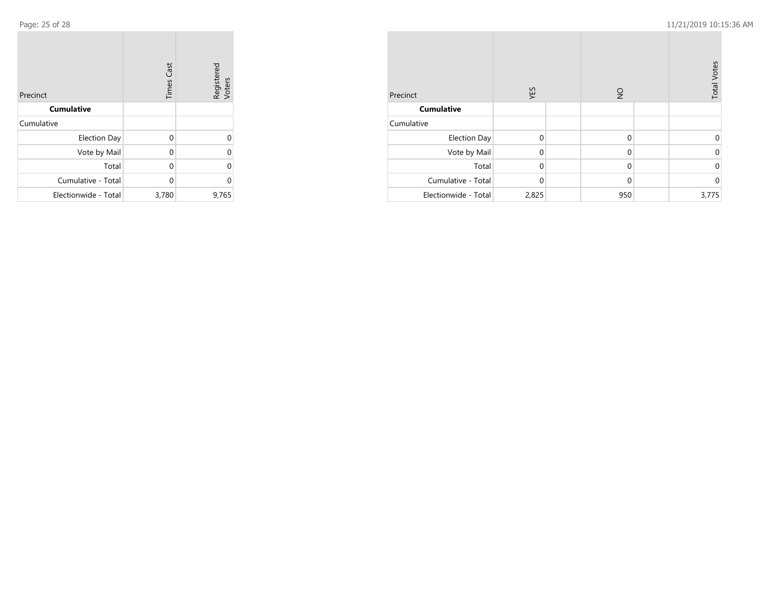m.

| Precinct             | <b>Times Cast</b> | Registered<br>Voters |
|----------------------|-------------------|----------------------|
| <b>Cumulative</b>    |                   |                      |
| Cumulative           |                   |                      |
| <b>Election Day</b>  | $\Omega$          | 0                    |
| Vote by Mail         | 0                 | 0                    |
| Total                | 0                 | $\Omega$             |
| Cumulative - Total   | 0                 | 0                    |
| Electionwide - Total | 3,780             | 9,765                |

| Precinct             | YES          | $\frac{1}{2}$ | <b>Total Votes</b> |
|----------------------|--------------|---------------|--------------------|
| <b>Cumulative</b>    |              |               |                    |
| Cumulative           |              |               |                    |
| <b>Election Day</b>  | $\Omega$     | $\mathbf 0$   | ი                  |
| Vote by Mail         | $\mathbf 0$  | $\mathbf 0$   | 0                  |
| Total                | $\mathbf{0}$ | $\mathbf 0$   | 0                  |
| Cumulative - Total   | $\mathbf{0}$ | $\mathbf{0}$  | 0                  |
| Electionwide - Total | 2,825        | 950           | 3,775              |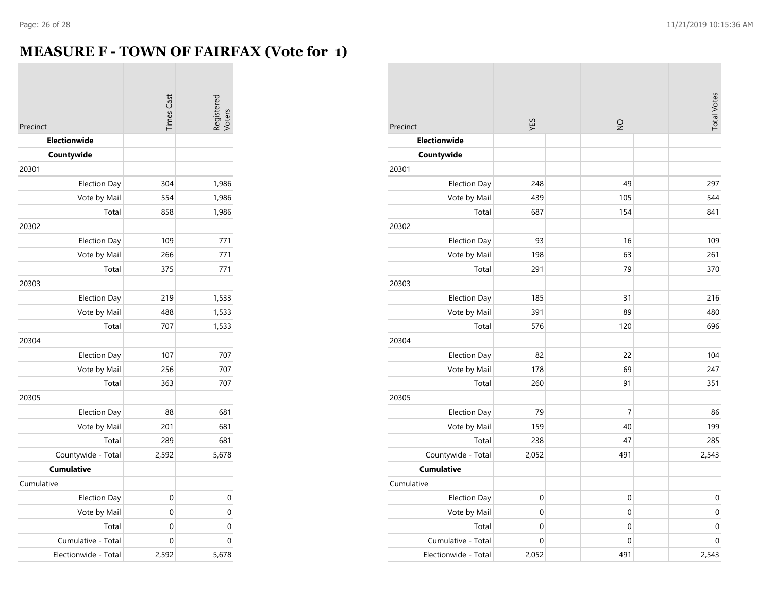### **MEASURE F - TOWN OF FAIRFAX (Vote for 1)**

| Precinct             | <b>Times Cast</b> | Registered<br>Voters |
|----------------------|-------------------|----------------------|
| Electionwide         |                   |                      |
| Countywide           |                   |                      |
| 20301                |                   |                      |
| <b>Election Day</b>  | 304               | 1,986                |
| Vote by Mail         | 554               | 1,986                |
| Total                | 858               | 1,986                |
| 20302                |                   |                      |
| <b>Election Day</b>  | 109               | 771                  |
| Vote by Mail         | 266               | 771                  |
| Total                | 375               | 771                  |
| 20303                |                   |                      |
| <b>Election Day</b>  | 219               | 1,533                |
| Vote by Mail         | 488               | 1,533                |
| Total                | 707               | 1,533                |
| 20304                |                   |                      |
| <b>Election Day</b>  | 107               | 707                  |
| Vote by Mail         | 256               | 707                  |
| Total                | 363               | 707                  |
| 20305                |                   |                      |
| <b>Election Day</b>  | 88                | 681                  |
| Vote by Mail         | 201               | 681                  |
| Total                | 289               | 681                  |
| Countywide - Total   | 2,592             | 5,678                |
| <b>Cumulative</b>    |                   |                      |
| Cumulative           |                   |                      |
| <b>Election Day</b>  | 0                 | 0                    |
| Vote by Mail         | 0                 | 0                    |
| Total                | 0                 | $\mathbf 0$          |
| Cumulative - Total   | 0                 | $\mathbf 0$          |
| Electionwide - Total | 2,592             | 5,678                |

| Precinct             | YES         | $\frac{1}{2}$    | <b>Total Votes</b> |
|----------------------|-------------|------------------|--------------------|
| Electionwide         |             |                  |                    |
| Countywide           |             |                  |                    |
| 20301                |             |                  |                    |
| <b>Election Day</b>  | 248         | 49               | 297                |
| Vote by Mail         | 439         | 105              | 544                |
| Total                | 687         | 154              | 841                |
| 20302                |             |                  |                    |
| Election Day         | 93          | 16               | 109                |
| Vote by Mail         | 198         | 63               | 261                |
| Total                | 291         | 79               | 370                |
| 20303                |             |                  |                    |
| <b>Election Day</b>  | 185         | 31               | 216                |
| Vote by Mail         | 391         | 89               | 480                |
| Total                | 576         | 120              | 696                |
| 20304                |             |                  |                    |
| <b>Election Day</b>  | 82          | 22               | 104                |
| Vote by Mail         | 178         | 69               | 247                |
| Total                | 260         | 91               | 351                |
| 20305                |             |                  |                    |
| <b>Election Day</b>  | 79          | 7                | 86                 |
| Vote by Mail         | 159         | 40               | 199                |
| Total                | 238         | 47               | 285                |
| Countywide - Total   | 2,052       | 491              | 2,543              |
| <b>Cumulative</b>    |             |                  |                    |
| Cumulative           |             |                  |                    |
| <b>Election Day</b>  | 0           | $\boldsymbol{0}$ | $\boldsymbol{0}$   |
| Vote by Mail         | $\mathbf 0$ | $\mathbf 0$      | $\mathbf 0$        |
| Total                | 0           | 0                | 0                  |
| Cumulative - Total   | $\mathbf 0$ | $\mathbf 0$      | $\mathbf 0$        |
| Electionwide - Total | 2,052       | 491              | 2,543              |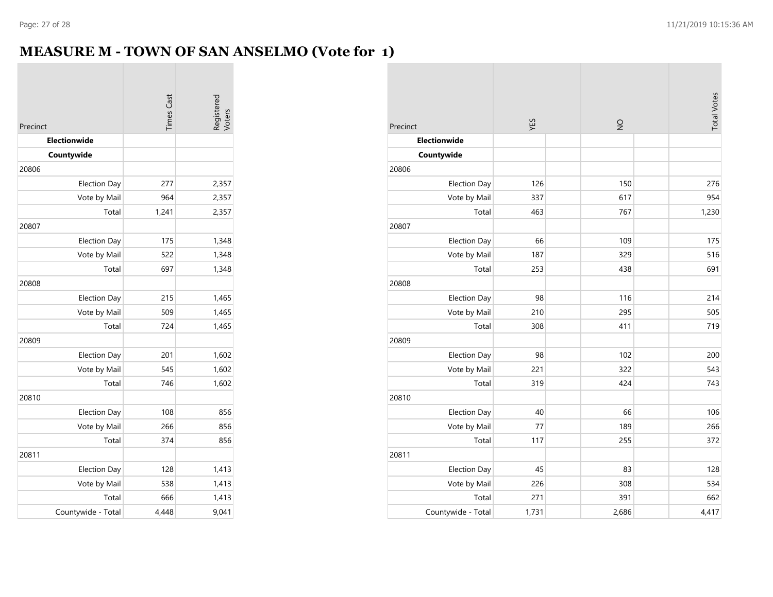### **MEASURE M - TOWN OF SAN ANSELMO (Vote for 1)**

| Precinct            | <b>Times Cast</b> | Registered<br>Voters |
|---------------------|-------------------|----------------------|
| Electionwide        |                   |                      |
| Countywide          |                   |                      |
| 20806               |                   |                      |
| <b>Election Day</b> | 277               | 2,357                |
| Vote by Mail        | 964               | 2,357                |
| Total               | 1,241             | 2,357                |
| 20807               |                   |                      |
| <b>Election Day</b> | 175               | 1,348                |
| Vote by Mail        | 522               | 1,348                |
| Total               | 697               | 1,348                |
| 20808               |                   |                      |
| <b>Election Day</b> | 215               | 1,465                |
| Vote by Mail        | 509               | 1,465                |
| Total               | 724               | 1,465                |
| 20809               |                   |                      |
| <b>Election Day</b> | 201               | 1,602                |
| Vote by Mail        | 545               | 1,602                |
| Total               | 746               | 1,602                |
| 20810               |                   |                      |
| <b>Election Day</b> | 108               | 856                  |
| Vote by Mail        | 266               | 856                  |
| Total               | 374               | 856                  |
| 20811               |                   |                      |
| <b>Election Day</b> | 128               | 1,413                |
| Vote by Mail        | 538               | 1,413                |
| Total               | 666               | 1,413                |
| Countywide - Total  | 4.448             | 9,041                |

| Precinct            | ΥES   | $\frac{1}{2}$ | <b>Total Votes</b> |
|---------------------|-------|---------------|--------------------|
| Electionwide        |       |               |                    |
| Countywide          |       |               |                    |
| 20806               |       |               |                    |
| <b>Election Day</b> | 126   | 150           | 276                |
| Vote by Mail        | 337   | 617           | 954                |
| Total               | 463   | 767           | 1,230              |
| 20807               |       |               |                    |
| <b>Election Day</b> | 66    | 109           | 175                |
| Vote by Mail        | 187   | 329           | 516                |
| Total               | 253   | 438           | 691                |
| 20808               |       |               |                    |
| <b>Election Day</b> | 98    | 116           | 214                |
| Vote by Mail        | 210   | 295           | 505                |
| Total               | 308   | 411           | 719                |
| 20809               |       |               |                    |
| <b>Election Day</b> | 98    | 102           | 200                |
| Vote by Mail        | 221   | 322           | 543                |
| Total               | 319   | 424           | 743                |
| 20810               |       |               |                    |
| <b>Election Day</b> | 40    | 66            | 106                |
| Vote by Mail        | 77    | 189           | 266                |
| Total               | 117   | 255           | 372                |
| 20811               |       |               |                    |
| <b>Election Day</b> | 45    | 83            | 128                |
| Vote by Mail        | 226   | 308           | 534                |
| Total               | 271   | 391           | 662                |
| Countywide - Total  | 1,731 | 2,686         | 4,417              |